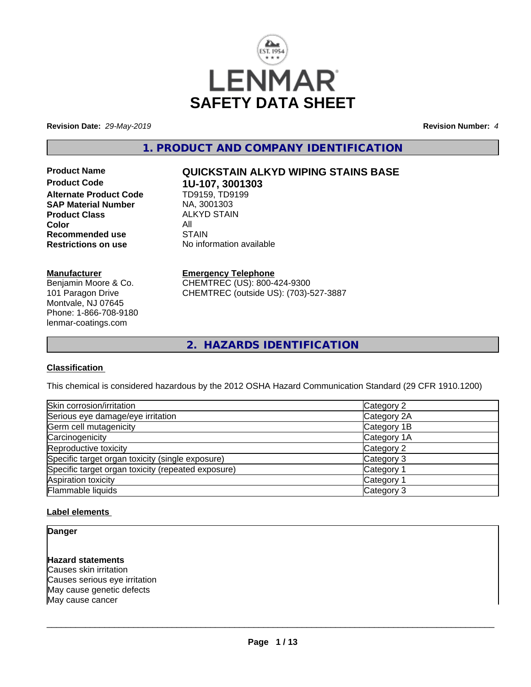

**Revision Date:** *29-May-2019* **Revision Number:** *4*

**1. PRODUCT AND COMPANY IDENTIFICATION**

**Product Code 1U-107, 3001303 Alternate Product Code SAP Material Number** MA, 3001303<br>**Product Class** MALKYD STAIN **Product Class** AL<br>Color All **Color** All All<br>**Recommended use** STAIN **Recommended use** 

#### **Manufacturer**

Benjamin Moore & Co. 101 Paragon Drive Montvale, NJ 07645 Phone: 1-866-708-9180 lenmar-coatings.com

# **Product Name QUICKSTAIN ALKYD WIPING STAINS BASE**

**Restrictions on use** No information available

**Emergency Telephone** CHEMTREC (US): 800-424-9300 CHEMTREC (outside US): (703)-527-3887

**2. HAZARDS IDENTIFICATION**

#### **Classification**

This chemical is considered hazardous by the 2012 OSHA Hazard Communication Standard (29 CFR 1910.1200)

| Skin corrosion/irritation                          | Category 2            |
|----------------------------------------------------|-----------------------|
| Serious eye damage/eye irritation                  | Category 2A           |
| Germ cell mutagenicity                             | Category 1B           |
| Carcinogenicity                                    | Category 1A           |
| Reproductive toxicity                              | Category 2            |
| Specific target organ toxicity (single exposure)   | Category 3            |
| Specific target organ toxicity (repeated exposure) | Category <sup>2</sup> |
| Aspiration toxicity                                | Category <sup>2</sup> |
| Flammable liquids                                  | Category 3            |

#### **Label elements**

**Danger**

#### **Hazard statements**

Causes skin irritation Causes serious eye irritation May cause genetic defects May cause cancer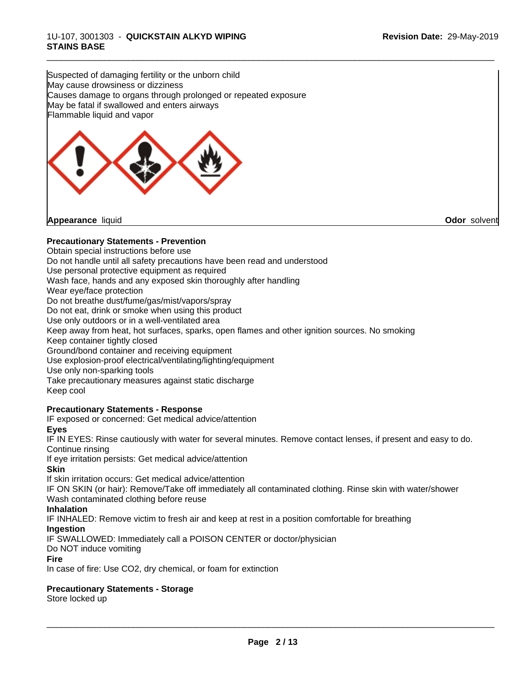Suspected of damaging fertility or the unborn child May cause drowsiness or dizziness Causes damage to organs through prolonged or repeated exposure May be fatal if swallowed and enters airways Flammable liquid and vapor



#### **Precautionary Statements - Prevention**

Obtain special instructions before use Do not handle until all safety precautions have been read and understood Use personal protective equipment as required Wash face, hands and any exposed skin thoroughly after handling Wear eye/face protection Do not breathe dust/fume/gas/mist/vapors/spray Do not eat, drink or smoke when using this product Use only outdoors or in a well-ventilated area Keep away from heat, hot surfaces, sparks, open flames and other ignition sources. No smoking Keep container tightly closed Ground/bond container and receiving equipment Use explosion-proof electrical/ventilating/lighting/equipment Use only non-sparking tools Take precautionary measures against static discharge Keep cool **Precautionary Statements - Response**

IF exposed or concerned: Get medical advice/attention **Eyes**

IF IN EYES: Rinse cautiously with water forseveral minutes. Remove contact lenses, if present and easy to do. Continue rinsing

If eye irritation persists: Get medical advice/attention

**Skin**

If skin irritation occurs: Get medical advice/attention

IF ON SKIN (or hair): Remove/Take off immediately all contaminated clothing. Rinse skin with water/shower Wash contaminated clothing before reuse

**Inhalation**

IF INHALED: Remove victim to fresh air and keep at rest in a position comfortable for breathing

**Ingestion**

IF SWALLOWED: Immediately call a POISON CENTER or doctor/physician

Do NOT induce vomiting

**Fire**

In case of fire: Use CO2, dry chemical, or foam for extinction

### **Precautionary Statements - Storage**

Store locked up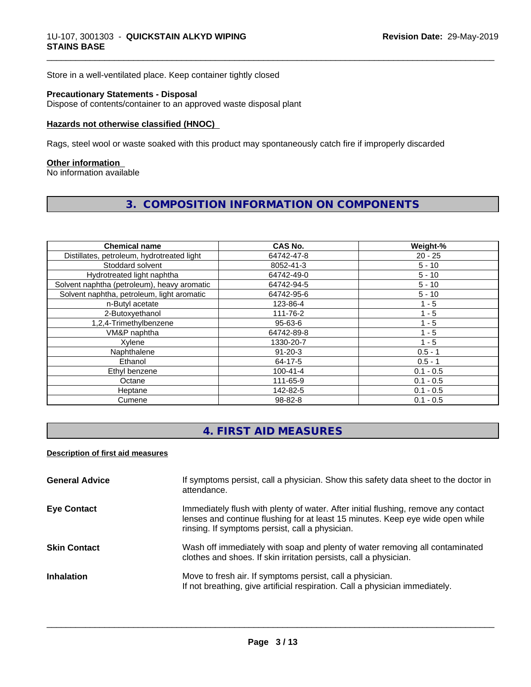Store in a well-ventilated place. Keep container tightly closed

#### **Precautionary Statements - Disposal**

Dispose of contents/container to an approved waste disposal plant

#### **Hazards not otherwise classified (HNOC)**

Rags, steel wool or waste soaked with this product may spontaneously catch fire if improperly discarded

#### **Other information**

No information available

## **3. COMPOSITION INFORMATION ON COMPONENTS**

\_\_\_\_\_\_\_\_\_\_\_\_\_\_\_\_\_\_\_\_\_\_\_\_\_\_\_\_\_\_\_\_\_\_\_\_\_\_\_\_\_\_\_\_\_\_\_\_\_\_\_\_\_\_\_\_\_\_\_\_\_\_\_\_\_\_\_\_\_\_\_\_\_\_\_\_\_\_\_\_\_\_\_\_\_\_\_\_\_\_\_\_\_

| <b>Chemical name</b>                        | CAS No.        | Weight-%    |
|---------------------------------------------|----------------|-------------|
| Distillates, petroleum, hydrotreated light  | 64742-47-8     | $20 - 25$   |
| Stoddard solvent                            | 8052-41-3      | $5 - 10$    |
| Hydrotreated light naphtha                  | 64742-49-0     | $5 - 10$    |
| Solvent naphtha (petroleum), heavy aromatic | 64742-94-5     | $5 - 10$    |
| Solvent naphtha, petroleum, light aromatic  | 64742-95-6     | $5 - 10$    |
| n-Butyl acetate                             | 123-86-4       | 1 - 5       |
| 2-Butoxyethanol                             | 111-76-2       | $1 - 5$     |
| 1,2,4-Trimethylbenzene                      | 95-63-6        | $1 - 5$     |
| VM&P naphtha                                | 64742-89-8     | $1 - 5$     |
| Xylene                                      | 1330-20-7      | $1 - 5$     |
| Naphthalene                                 | $91 - 20 - 3$  | $0.5 - 1$   |
| Ethanol                                     | 64-17-5        | $0.5 - 1$   |
| Ethyl benzene                               | $100 - 41 - 4$ | $0.1 - 0.5$ |
| Octane                                      | 111-65-9       | $0.1 - 0.5$ |
| Heptane                                     | 142-82-5       | $0.1 - 0.5$ |
| Cumene                                      | 98-82-8        | $0.1 - 0.5$ |

## **4. FIRST AID MEASURES**

#### **Description of first aid measures**

| <b>General Advice</b> | If symptoms persist, call a physician. Show this safety data sheet to the doctor in<br>attendance.                                                                                                                      |
|-----------------------|-------------------------------------------------------------------------------------------------------------------------------------------------------------------------------------------------------------------------|
| <b>Eye Contact</b>    | Immediately flush with plenty of water. After initial flushing, remove any contact<br>lenses and continue flushing for at least 15 minutes. Keep eye wide open while<br>rinsing. If symptoms persist, call a physician. |
| <b>Skin Contact</b>   | Wash off immediately with soap and plenty of water removing all contaminated<br>clothes and shoes. If skin irritation persists, call a physician.                                                                       |
| <b>Inhalation</b>     | Move to fresh air. If symptoms persist, call a physician.<br>If not breathing, give artificial respiration. Call a physician immediately.                                                                               |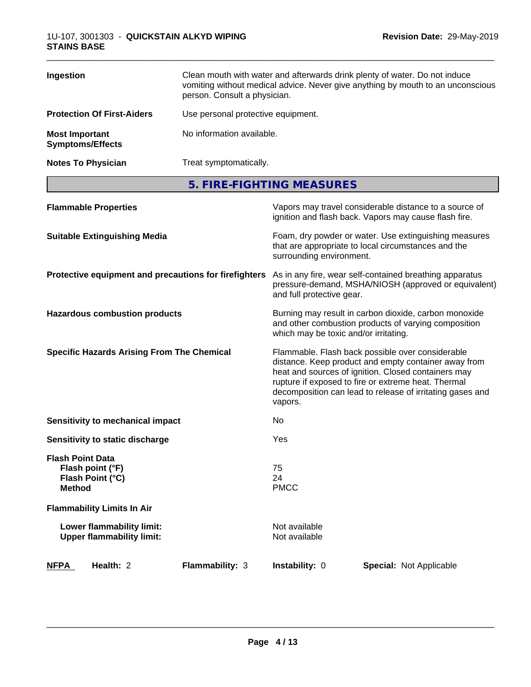| Ingestion                                        | Clean mouth with water and afterwards drink plenty of water. Do not induce<br>vomiting without medical advice. Never give anything by mouth to an unconscious<br>person. Consult a physician. |
|--------------------------------------------------|-----------------------------------------------------------------------------------------------------------------------------------------------------------------------------------------------|
| <b>Protection Of First-Aiders</b>                | Use personal protective equipment.                                                                                                                                                            |
| <b>Most Important</b><br><b>Symptoms/Effects</b> | No information available.                                                                                                                                                                     |
| <b>Notes To Physician</b>                        | Treat symptomatically.                                                                                                                                                                        |

**5. FIRE-FIGHTING MEASURES**

| <b>Flammable Properties</b>                                                      | Vapors may travel considerable distance to a source of<br>ignition and flash back. Vapors may cause flash fire.                                                                                                                                                                                |
|----------------------------------------------------------------------------------|------------------------------------------------------------------------------------------------------------------------------------------------------------------------------------------------------------------------------------------------------------------------------------------------|
| <b>Suitable Extinguishing Media</b>                                              | Foam, dry powder or water. Use extinguishing measures<br>that are appropriate to local circumstances and the<br>surrounding environment.                                                                                                                                                       |
| Protective equipment and precautions for firefighters                            | As in any fire, wear self-contained breathing apparatus<br>pressure-demand, MSHA/NIOSH (approved or equivalent)<br>and full protective gear.                                                                                                                                                   |
| <b>Hazardous combustion products</b>                                             | Burning may result in carbon dioxide, carbon monoxide<br>and other combustion products of varying composition<br>which may be toxic and/or irritating.                                                                                                                                         |
| <b>Specific Hazards Arising From The Chemical</b>                                | Flammable. Flash back possible over considerable<br>distance. Keep product and empty container away from<br>heat and sources of ignition. Closed containers may<br>rupture if exposed to fire or extreme heat. Thermal<br>decomposition can lead to release of irritating gases and<br>vapors. |
| <b>Sensitivity to mechanical impact</b>                                          | No.                                                                                                                                                                                                                                                                                            |
| Sensitivity to static discharge                                                  | Yes                                                                                                                                                                                                                                                                                            |
| <b>Flash Point Data</b><br>Flash point (°F)<br>Flash Point (°C)<br><b>Method</b> | 75<br>24<br><b>PMCC</b>                                                                                                                                                                                                                                                                        |
| <b>Flammability Limits In Air</b>                                                |                                                                                                                                                                                                                                                                                                |
| Lower flammability limit:<br><b>Upper flammability limit:</b>                    | Not available<br>Not available                                                                                                                                                                                                                                                                 |
| Health: 2<br>Flammability: 3<br><b>NFPA</b>                                      | Instability: 0<br><b>Special: Not Applicable</b>                                                                                                                                                                                                                                               |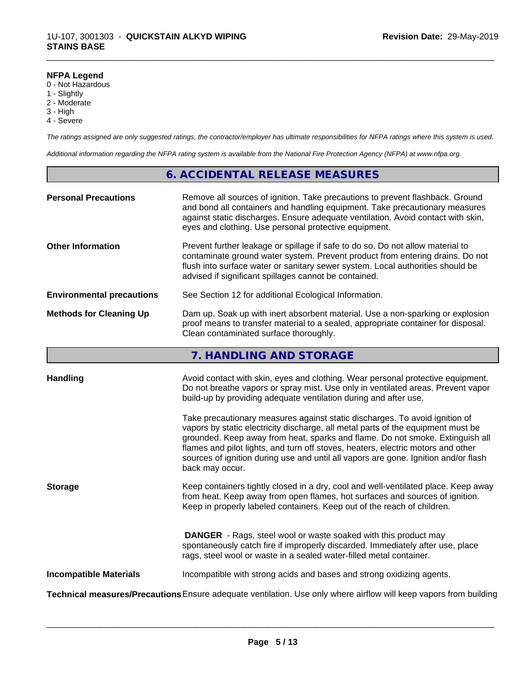#### **NFPA Legend**

- 0 Not Hazardous
- 1 Slightly
- 2 Moderate
- 3 High
- 4 Severe

*The ratings assigned are only suggested ratings, the contractor/employer has ultimate responsibilities for NFPA ratings where this system is used.*

\_\_\_\_\_\_\_\_\_\_\_\_\_\_\_\_\_\_\_\_\_\_\_\_\_\_\_\_\_\_\_\_\_\_\_\_\_\_\_\_\_\_\_\_\_\_\_\_\_\_\_\_\_\_\_\_\_\_\_\_\_\_\_\_\_\_\_\_\_\_\_\_\_\_\_\_\_\_\_\_\_\_\_\_\_\_\_\_\_\_\_\_\_

*Additional information regarding the NFPA rating system is available from the National Fire Protection Agency (NFPA) at www.nfpa.org.*

### **6. ACCIDENTAL RELEASE MEASURES**

| <b>Personal Precautions</b>      | Remove all sources of ignition. Take precautions to prevent flashback. Ground<br>and bond all containers and handling equipment. Take precautionary measures<br>against static discharges. Ensure adequate ventilation. Avoid contact with skin,<br>eyes and clothing. Use personal protective equipment.  |
|----------------------------------|------------------------------------------------------------------------------------------------------------------------------------------------------------------------------------------------------------------------------------------------------------------------------------------------------------|
| <b>Other Information</b>         | Prevent further leakage or spillage if safe to do so. Do not allow material to<br>contaminate ground water system. Prevent product from entering drains. Do not<br>flush into surface water or sanitary sewer system. Local authorities should be<br>advised if significant spillages cannot be contained. |
| <b>Environmental precautions</b> | See Section 12 for additional Ecological Information.                                                                                                                                                                                                                                                      |
| <b>Methods for Cleaning Up</b>   | Dam up. Soak up with inert absorbent material. Use a non-sparking or explosion<br>proof means to transfer material to a sealed, appropriate container for disposal.<br>Clean contaminated surface thoroughly.                                                                                              |

## **7. HANDLING AND STORAGE**

| <b>Handling</b>               | Avoid contact with skin, eyes and clothing. Wear personal protective equipment.<br>Do not breathe vapors or spray mist. Use only in ventilated areas. Prevent vapor                                                                                                                                                                                                                                                                            |
|-------------------------------|------------------------------------------------------------------------------------------------------------------------------------------------------------------------------------------------------------------------------------------------------------------------------------------------------------------------------------------------------------------------------------------------------------------------------------------------|
|                               | build-up by providing adequate ventilation during and after use.                                                                                                                                                                                                                                                                                                                                                                               |
|                               | Take precautionary measures against static discharges. To avoid ignition of<br>vapors by static electricity discharge, all metal parts of the equipment must be<br>grounded. Keep away from heat, sparks and flame. Do not smoke. Extinguish all<br>flames and pilot lights, and turn off stoves, heaters, electric motors and other<br>sources of ignition during use and until all vapors are gone. Ignition and/or flash<br>back may occur. |
| <b>Storage</b>                | Keep containers tightly closed in a dry, cool and well-ventilated place. Keep away<br>from heat. Keep away from open flames, hot surfaces and sources of ignition.<br>Keep in properly labeled containers. Keep out of the reach of children.                                                                                                                                                                                                  |
|                               | <b>DANGER</b> - Rags, steel wool or waste soaked with this product may<br>spontaneously catch fire if improperly discarded. Immediately after use, place<br>rags, steel wool or waste in a sealed water-filled metal container.                                                                                                                                                                                                                |
| <b>Incompatible Materials</b> | Incompatible with strong acids and bases and strong oxidizing agents.                                                                                                                                                                                                                                                                                                                                                                          |
|                               | Technical measures/Precautions Ensure adequate ventilation. Use only where airflow will keep vapors from building                                                                                                                                                                                                                                                                                                                              |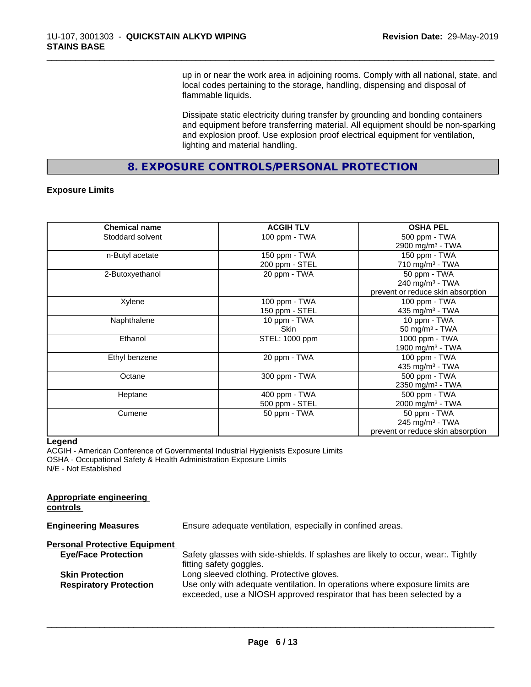up in or near the work area in adjoining rooms. Comply with all national, state, and local codes pertaining to the storage, handling, dispensing and disposal of flammable liquids.

\_\_\_\_\_\_\_\_\_\_\_\_\_\_\_\_\_\_\_\_\_\_\_\_\_\_\_\_\_\_\_\_\_\_\_\_\_\_\_\_\_\_\_\_\_\_\_\_\_\_\_\_\_\_\_\_\_\_\_\_\_\_\_\_\_\_\_\_\_\_\_\_\_\_\_\_\_\_\_\_\_\_\_\_\_\_\_\_\_\_\_\_\_

Dissipate static electricity during transfer by grounding and bonding containers and equipment before transferring material. All equipment should be non-sparking and explosion proof. Use explosion proof electrical equipment for ventilation, lighting and material handling.

**8. EXPOSURE CONTROLS/PERSONAL PROTECTION**

#### **Exposure Limits**

| <b>Chemical name</b> | <b>ACGIH TLV</b> | <b>OSHA PEL</b>                   |
|----------------------|------------------|-----------------------------------|
| Stoddard solvent     | 100 ppm - TWA    | 500 ppm - TWA                     |
|                      |                  | 2900 mg/m <sup>3</sup> - TWA      |
| n-Butyl acetate      | 150 ppm - TWA    | 150 ppm - TWA                     |
|                      | 200 ppm - STEL   | 710 mg/m $3$ - TWA                |
| 2-Butoxyethanol      | 20 ppm - TWA     | 50 ppm - TWA                      |
|                      |                  | $240$ mg/m <sup>3</sup> - TWA     |
|                      |                  | prevent or reduce skin absorption |
| Xylene               | 100 ppm - TWA    | 100 ppm - TWA                     |
|                      | 150 ppm - STEL   | 435 mg/m $3$ - TWA                |
| Naphthalene          | 10 ppm - TWA     | 10 ppm - TWA                      |
|                      | <b>Skin</b>      | 50 mg/m $3$ - TWA                 |
| Ethanol              | STEL: 1000 ppm   | 1000 ppm - TWA                    |
|                      |                  | 1900 mg/m <sup>3</sup> - TWA      |
| Ethyl benzene        | 20 ppm - TWA     | 100 ppm - TWA                     |
|                      |                  | 435 mg/m <sup>3</sup> - TWA       |
| Octane               | 300 ppm - TWA    | 500 ppm - TWA                     |
|                      |                  | 2350 mg/m <sup>3</sup> - TWA      |
| Heptane              | 400 ppm - TWA    | 500 ppm - TWA                     |
|                      | 500 ppm - STEL   | 2000 mg/m <sup>3</sup> - TWA      |
| Cumene               | 50 ppm - TWA     | 50 ppm - TWA                      |
|                      |                  | 245 mg/m $3$ - TWA                |
|                      |                  | prevent or reduce skin absorption |

#### **Legend**

ACGIH - American Conference of Governmental Industrial Hygienists Exposure Limits OSHA - Occupational Safety & Health Administration Exposure Limits N/E - Not Established

| Appropriate engineering<br>controls  |                                                                                                                                                      |
|--------------------------------------|------------------------------------------------------------------------------------------------------------------------------------------------------|
| <b>Engineering Measures</b>          | Ensure adequate ventilation, especially in confined areas.                                                                                           |
| <b>Personal Protective Equipment</b> |                                                                                                                                                      |
| <b>Eye/Face Protection</b>           | Safety glasses with side-shields. If splashes are likely to occur, wear Tightly<br>fitting safety goggles.                                           |
| <b>Skin Protection</b>               | Long sleeved clothing. Protective gloves.                                                                                                            |
| <b>Respiratory Protection</b>        | Use only with adequate ventilation. In operations where exposure limits are<br>exceeded, use a NIOSH approved respirator that has been selected by a |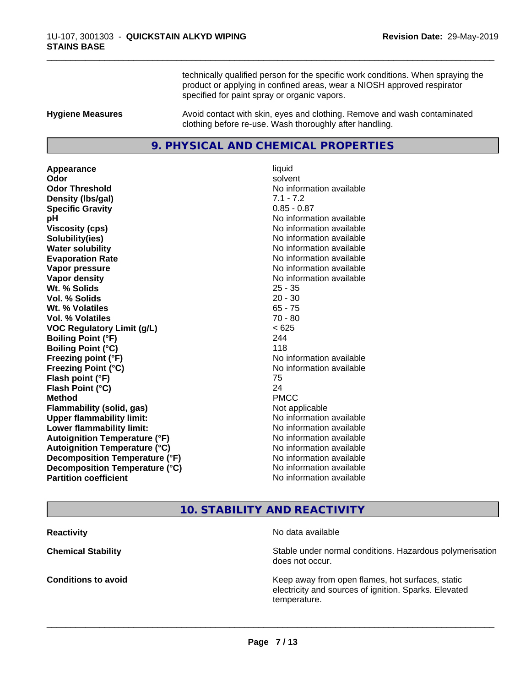technically qualified person for the specific work conditions. When spraying the product or applying in confined areas, wear a NIOSH approved respirator specified for paint spray or organic vapors.

\_\_\_\_\_\_\_\_\_\_\_\_\_\_\_\_\_\_\_\_\_\_\_\_\_\_\_\_\_\_\_\_\_\_\_\_\_\_\_\_\_\_\_\_\_\_\_\_\_\_\_\_\_\_\_\_\_\_\_\_\_\_\_\_\_\_\_\_\_\_\_\_\_\_\_\_\_\_\_\_\_\_\_\_\_\_\_\_\_\_\_\_\_

**Hygiene Measures** Avoid contact with skin, eyes and clothing. Remove and wash contaminated clothing before re-use. Wash thoroughly after handling.

### **9. PHYSICAL AND CHEMICAL PROPERTIES**

**Appearance** liquid **Odor** solvent **Odor Threshold No information available No information available Density (lbs/gal)** 7.1 - 7.2 **Specific Gravity** 0.85 - 0.87 **pH** No information available **Viscosity (cps)** No information available **Solubility(ies)** No information available in the solution of the solution of the solution available in the solution of the solution of the solution of the solution of the solution of the solution of the solution of the so **Water solubility Water solubility Water solubility Water solubility Water solubility Water solution Evaporation Rate No information available No information available Vapor pressure** No information available **No information** available **Vapor density No information available No information available Wt. % Solids** 25 - 35 **Vol. % Solids** 20 - 30 **Wt. % Volatiles** 65 - 75 **Vol. % Volatiles** 70 - 80 **VOC Regulatory Limit (g/L)** < 625 **Boiling Point (°F)** 244 **Boiling Point (°C)** 118 **Freezing point (°F)** No information available **Freezing Point (°C)** No information available **Flash point (°F)** 75 **Flash Point (°C)** 24 **Method** PMCC **Flammability (solid, gas)** Not applicable **Upper flammability limit:** No information available **Lower flammability limit:** No information available **Autoignition Temperature (°F)** No information available **Autoignition Temperature (°C)** No information available **Decomposition Temperature (°F)** No information available **Decomposition Temperature (°C)** No information available<br> **Partition coefficient Partition available** 

**No information available** 

## **10. STABILITY AND REACTIVITY**

**Reactivity No data available Chemical Stability Stability** Stable under normal conditions. Hazardous polymerisation does not occur. **Conditions to avoid EXECUTE:** The Metal Metal Metal Metal Metal Metal Metal Metal Metal Metal Metal Metal Metal Metal Metal Metal Metal Metal Metal Metal Metal Metal Metal Metal Metal Metal Metal Metal Metal Metal Metal electricity and sources of ignition. Sparks. Elevated temperature.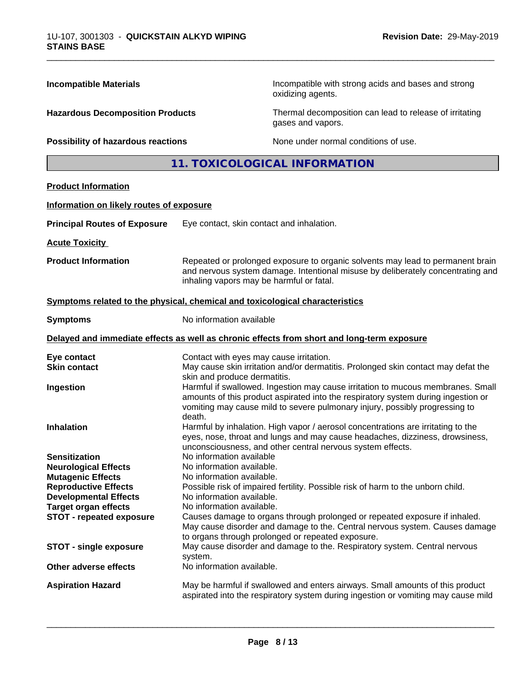| <b>Incompatible Materials</b><br><b>Hazardous Decomposition Products</b><br>Possibility of hazardous reactions |                                                                                                                                                                                                                                                                                     | Incompatible with strong acids and bases and strong<br>oxidizing agents.                   |  |  |
|----------------------------------------------------------------------------------------------------------------|-------------------------------------------------------------------------------------------------------------------------------------------------------------------------------------------------------------------------------------------------------------------------------------|--------------------------------------------------------------------------------------------|--|--|
|                                                                                                                |                                                                                                                                                                                                                                                                                     | Thermal decomposition can lead to release of irritating<br>gases and vapors.               |  |  |
|                                                                                                                |                                                                                                                                                                                                                                                                                     | None under normal conditions of use.                                                       |  |  |
|                                                                                                                |                                                                                                                                                                                                                                                                                     | 11. TOXICOLOGICAL INFORMATION                                                              |  |  |
| <b>Product Information</b>                                                                                     |                                                                                                                                                                                                                                                                                     |                                                                                            |  |  |
| Information on likely routes of exposure                                                                       |                                                                                                                                                                                                                                                                                     |                                                                                            |  |  |
| <b>Principal Routes of Exposure</b>                                                                            | Eye contact, skin contact and inhalation.                                                                                                                                                                                                                                           |                                                                                            |  |  |
| <b>Acute Toxicity</b>                                                                                          |                                                                                                                                                                                                                                                                                     |                                                                                            |  |  |
| <b>Product Information</b>                                                                                     | Repeated or prolonged exposure to organic solvents may lead to permanent brain<br>and nervous system damage. Intentional misuse by deliberately concentrating and<br>inhaling vapors may be harmful or fatal.                                                                       |                                                                                            |  |  |
| Symptoms related to the physical, chemical and toxicological characteristics                                   |                                                                                                                                                                                                                                                                                     |                                                                                            |  |  |
| <b>Symptoms</b>                                                                                                | No information available                                                                                                                                                                                                                                                            |                                                                                            |  |  |
|                                                                                                                |                                                                                                                                                                                                                                                                                     | Delayed and immediate effects as well as chronic effects from short and long-term exposure |  |  |
| Eye contact<br><b>Skin contact</b>                                                                             | Contact with eyes may cause irritation.<br>May cause skin irritation and/or dermatitis. Prolonged skin contact may defat the                                                                                                                                                        |                                                                                            |  |  |
| Ingestion                                                                                                      | skin and produce dermatitis.<br>Harmful if swallowed. Ingestion may cause irritation to mucous membranes. Small<br>amounts of this product aspirated into the respiratory system during ingestion or<br>vomiting may cause mild to severe pulmonary injury, possibly progressing to |                                                                                            |  |  |
| <b>Inhalation</b>                                                                                              | death.<br>Harmful by inhalation. High vapor / aerosol concentrations are irritating to the<br>eyes, nose, throat and lungs and may cause headaches, dizziness, drowsiness,<br>unconsciousness, and other central nervous system effects.                                            |                                                                                            |  |  |
| <b>Sensitization</b>                                                                                           | No information available                                                                                                                                                                                                                                                            |                                                                                            |  |  |
| <b>Neurological Effects</b>                                                                                    | No information available.                                                                                                                                                                                                                                                           |                                                                                            |  |  |
| <b>Mutagenic Effects</b>                                                                                       | No information available.                                                                                                                                                                                                                                                           |                                                                                            |  |  |
| <b>Reproductive Effects</b>                                                                                    | Possible risk of impaired fertility. Possible risk of harm to the unborn child.                                                                                                                                                                                                     |                                                                                            |  |  |
| <b>Developmental Effects</b><br><b>Target organ effects</b>                                                    | No information available.<br>No information available.                                                                                                                                                                                                                              |                                                                                            |  |  |
| <b>STOT - repeated exposure</b>                                                                                | Causes damage to organs through prolonged or repeated exposure if inhaled.<br>May cause disorder and damage to the. Central nervous system. Causes damage<br>to organs through prolonged or repeated exposure.                                                                      |                                                                                            |  |  |
| <b>STOT - single exposure</b>                                                                                  | May cause disorder and damage to the. Respiratory system. Central nervous<br>system.                                                                                                                                                                                                |                                                                                            |  |  |
| <b>Other adverse effects</b>                                                                                   | No information available.                                                                                                                                                                                                                                                           |                                                                                            |  |  |
| <b>Aspiration Hazard</b>                                                                                       | May be harmful if swallowed and enters airways. Small amounts of this product                                                                                                                                                                                                       |                                                                                            |  |  |

 $\overline{\phantom{a}}$  ,  $\overline{\phantom{a}}$  ,  $\overline{\phantom{a}}$  ,  $\overline{\phantom{a}}$  ,  $\overline{\phantom{a}}$  ,  $\overline{\phantom{a}}$  ,  $\overline{\phantom{a}}$  ,  $\overline{\phantom{a}}$  ,  $\overline{\phantom{a}}$  ,  $\overline{\phantom{a}}$  ,  $\overline{\phantom{a}}$  ,  $\overline{\phantom{a}}$  ,  $\overline{\phantom{a}}$  ,  $\overline{\phantom{a}}$  ,  $\overline{\phantom{a}}$  ,  $\overline{\phantom{a}}$ 

aspirated into the respiratory system during ingestion or vomiting may cause mild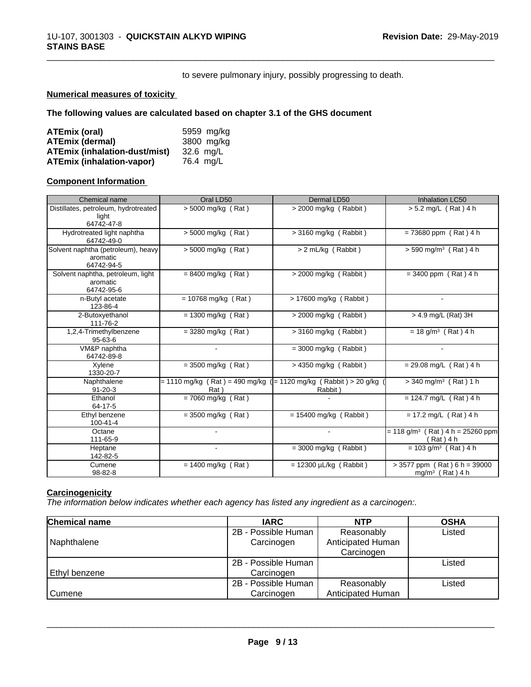to severe pulmonary injury, possibly progressing to death.

\_\_\_\_\_\_\_\_\_\_\_\_\_\_\_\_\_\_\_\_\_\_\_\_\_\_\_\_\_\_\_\_\_\_\_\_\_\_\_\_\_\_\_\_\_\_\_\_\_\_\_\_\_\_\_\_\_\_\_\_\_\_\_\_\_\_\_\_\_\_\_\_\_\_\_\_\_\_\_\_\_\_\_\_\_\_\_\_\_\_\_\_\_

#### **Numerical measures of toxicity**

#### **The following values are calculated based on chapter 3.1 of the GHS document**

| ATEmix (oral)                        | 5959 mg/kg |
|--------------------------------------|------------|
| <b>ATEmix (dermal)</b>               | 3800 mg/kg |
| <b>ATEmix (inhalation-dust/mist)</b> | 32.6 ma/L  |
| <b>ATEmix (inhalation-vapor)</b>     | 76.4 mg/L  |

#### **Component Information**

| Chemical name                                                | Oral LD50             | Dermal LD50                                                                     | <b>Inhalation LC50</b>                                        |
|--------------------------------------------------------------|-----------------------|---------------------------------------------------------------------------------|---------------------------------------------------------------|
| Distillates, petroleum, hydrotreated<br>light                | $> 5000$ mg/kg (Rat)  | > 2000 mg/kg (Rabbit)                                                           | > 5.2 mg/L (Rat) 4 h                                          |
| 64742-47-8                                                   |                       |                                                                                 |                                                               |
| Hydrotreated light naphtha<br>64742-49-0                     | > 5000 mg/kg (Rat)    | $>$ 3160 mg/kg (Rabbit)                                                         | $= 73680$ ppm (Rat) 4 h                                       |
| Solvent naphtha (petroleum), heavy<br>aromatic<br>64742-94-5 | $> 5000$ mg/kg (Rat)  | > 2 mL/kg (Rabbit)                                                              | $> 590$ mg/m <sup>3</sup> (Rat) 4 h                           |
| Solvent naphtha, petroleum, light<br>aromatic<br>64742-95-6  | $= 8400$ mg/kg (Rat)  | > 2000 mg/kg (Rabbit)                                                           | $= 3400$ ppm (Rat) 4 h                                        |
| n-Butyl acetate<br>123-86-4                                  | $= 10768$ mg/kg (Rat) | > 17600 mg/kg (Rabbit)                                                          |                                                               |
| 2-Butoxyethanol<br>111-76-2                                  | $= 1300$ mg/kg (Rat)  | $>$ 2000 mg/kg (Rabbit)                                                         | > 4.9 mg/L (Rat) 3H                                           |
| 1,2,4-Trimethylbenzene<br>$95 - 63 - 6$                      | $=$ 3280 mg/kg (Rat)  | $>$ 3160 mg/kg (Rabbit)                                                         | $= 18$ g/m <sup>3</sup> (Rat) 4 h                             |
| VM&P naphtha<br>64742-89-8                                   |                       | $=$ 3000 mg/kg (Rabbit)                                                         |                                                               |
| Xylene<br>1330-20-7                                          | $= 3500$ mg/kg (Rat)  | $>$ 4350 mg/kg (Rabbit)                                                         | $= 29.08$ mg/L (Rat) 4 h                                      |
| Naphthalene<br>$91 - 20 - 3$                                 | Rat)                  | = 1110 mg/kg ( Rat ) = 490 mg/kg ( = 1120 mg/kg ( Rabbit ) > 20 g/kg<br>Rabbit) | $>$ 340 mg/m <sup>3</sup> (Rat) 1 h                           |
| Ethanol<br>64-17-5                                           | $= 7060$ mg/kg (Rat)  |                                                                                 | $= 124.7$ mg/L (Rat) 4 h                                      |
| Ethyl benzene<br>100-41-4                                    | $= 3500$ mg/kg (Rat)  | $= 15400$ mg/kg (Rabbit)                                                        | $= 17.2$ mg/L (Rat) 4 h                                       |
| Octane<br>111-65-9                                           | $\blacksquare$        |                                                                                 | $= 118$ g/m <sup>3</sup> (Rat) 4 h = 25260 ppm<br>(Rat) 4 h   |
| Heptane<br>142-82-5                                          |                       | $=$ 3000 mg/kg (Rabbit)                                                         | $= 103$ g/m <sup>3</sup> (Rat) 4 h                            |
| Cumene<br>98-82-8                                            | $= 1400$ mg/kg (Rat)  | $= 12300 \mu L/kg$ (Rabbit)                                                     | $>$ 3577 ppm (Rat) 6 h = 39000<br>mg/m <sup>3</sup> (Rat) 4 h |

#### **Carcinogenicity**

*The information below indicateswhether each agency has listed any ingredient as a carcinogen:.*

| <b>Chemical name</b> | <b>IARC</b>                       | <b>NTP</b>                                    | <b>OSHA</b> |
|----------------------|-----------------------------------|-----------------------------------------------|-------------|
| Naphthalene          | 2B - Possible Human<br>Carcinogen | Reasonably<br>Anticipated Human<br>Carcinogen | Listed      |
| l Ethvl benzene      | 2B - Possible Human<br>Carcinogen |                                               | Listed      |
| Cumene               | 2B - Possible Human<br>Carcinogen | Reasonably<br>Anticipated Human               | Listed      |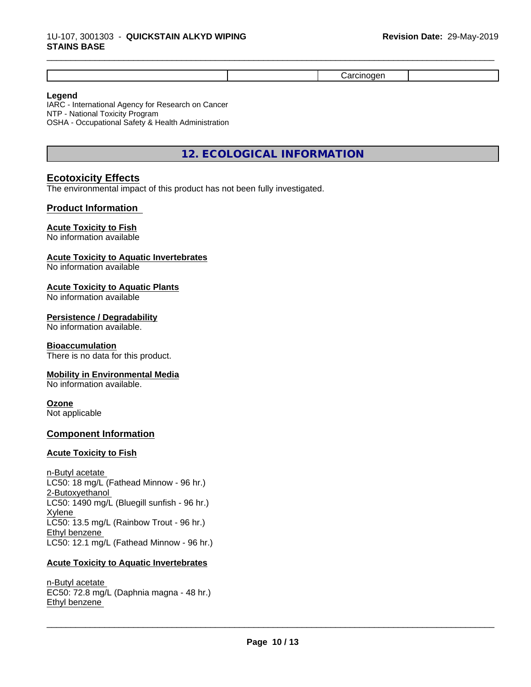#### **Legend**

IARC - International Agency for Research on Cancer NTP - National Toxicity Program OSHA - Occupational Safety & Health Administration

## **12. ECOLOGICAL INFORMATION**

## **Ecotoxicity Effects**

The environmental impact of this product has not been fully investigated.

#### **Product Information**

### **Acute Toxicity to Fish**

No information available

#### **Acute Toxicity to Aquatic Invertebrates**

No information available

#### **Acute Toxicity to Aquatic Plants**

No information available

#### **Persistence / Degradability**

No information available.

#### **Bioaccumulation**

There is no data for this product.

#### **Mobility in Environmental Media**

No information available.

#### **Ozone**

Not applicable

#### **Component Information**

#### **Acute Toxicity to Fish**

n-Butyl acetate LC50: 18 mg/L (Fathead Minnow - 96 hr.) 2-Butoxyethanol LC50: 1490 mg/L (Bluegill sunfish - 96 hr.) Xylene LC50: 13.5 mg/L (Rainbow Trout - 96 hr.) Ethyl benzene LC50: 12.1 mg/L (Fathead Minnow - 96 hr.)

#### **Acute Toxicity to Aquatic Invertebrates**

n-Butyl acetate EC50: 72.8 mg/L (Daphnia magna - 48 hr.) Ethyl benzene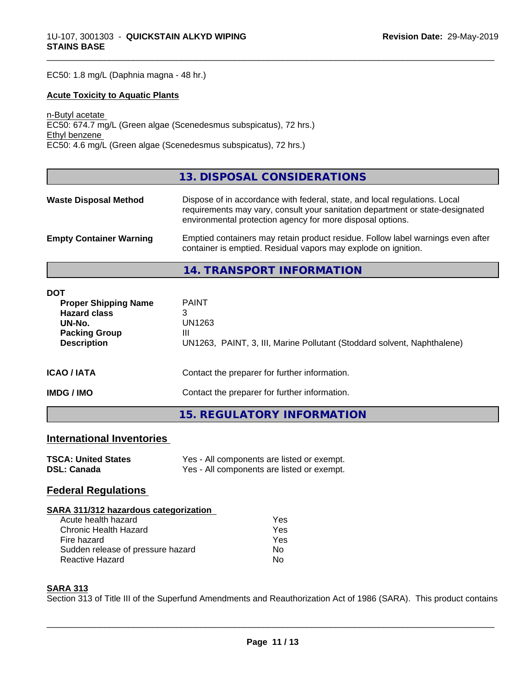EC50: 1.8 mg/L (Daphnia magna - 48 hr.)

#### **Acute Toxicity to Aquatic Plants**

n-Butyl acetate EC50: 674.7 mg/L (Green algae (Scenedesmus subspicatus), 72 hrs.) Ethyl benzene EC50: 4.6 mg/L (Green algae (Scenedesmus subspicatus), 72 hrs.)

#### **13. DISPOSAL CONSIDERATIONS**

\_\_\_\_\_\_\_\_\_\_\_\_\_\_\_\_\_\_\_\_\_\_\_\_\_\_\_\_\_\_\_\_\_\_\_\_\_\_\_\_\_\_\_\_\_\_\_\_\_\_\_\_\_\_\_\_\_\_\_\_\_\_\_\_\_\_\_\_\_\_\_\_\_\_\_\_\_\_\_\_\_\_\_\_\_\_\_\_\_\_\_\_\_

| <b>Waste Disposal Method</b>   | Dispose of in accordance with federal, state, and local regulations. Local<br>requirements may vary, consult your sanitation department or state-designated<br>environmental protection agency for more disposal options. |
|--------------------------------|---------------------------------------------------------------------------------------------------------------------------------------------------------------------------------------------------------------------------|
| <b>Empty Container Warning</b> | Emptied containers may retain product residue. Follow label warnings even after<br>container is emptied. Residual vapors may explode on ignition.                                                                         |

**14. TRANSPORT INFORMATION**

| <b>DOT</b>                                                   |                                                                              |
|--------------------------------------------------------------|------------------------------------------------------------------------------|
| <b>Proper Shipping Name</b><br><b>Hazard class</b><br>UN-No. | <b>PAINT</b><br>3<br>UN1263                                                  |
| <b>Packing Group</b><br><b>Description</b>                   | Ш<br>UN1263, PAINT, 3, III, Marine Pollutant (Stoddard solvent, Naphthalene) |
| <b>ICAO / IATA</b>                                           | Contact the preparer for further information.                                |
| <b>IMDG / IMO</b>                                            | Contact the preparer for further information.                                |
|                                                              | 15. REGULATORY INFORMATION                                                   |

## **International Inventories**

| <b>TSCA: United States</b> | Yes - All components are listed or exempt. |
|----------------------------|--------------------------------------------|
| <b>DSL: Canada</b>         | Yes - All components are listed or exempt. |

## **Federal Regulations**

| SARA 311/312 hazardous categorization |     |  |
|---------------------------------------|-----|--|
| Acute health hazard                   | Yes |  |
| Chronic Health Hazard                 | Yes |  |
| Fire hazard                           | Yes |  |
| Sudden release of pressure hazard     | No  |  |
| <b>Reactive Hazard</b>                | N٥  |  |

#### **SARA 313**

Section 313 of Title III of the Superfund Amendments and Reauthorization Act of 1986 (SARA). This product contains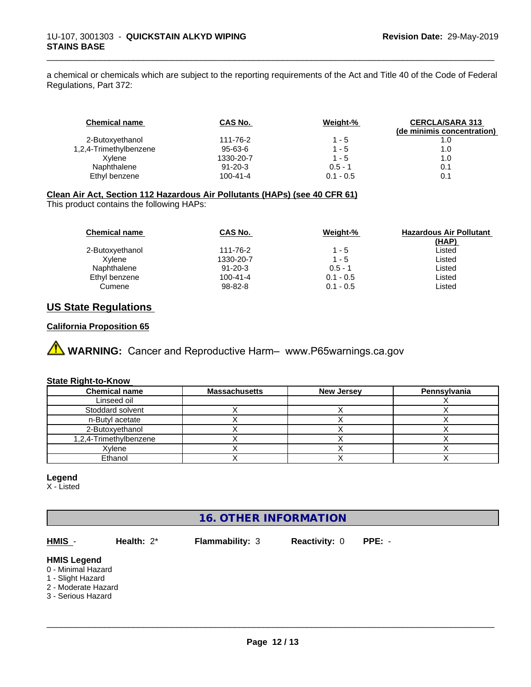a chemical or chemicals which are subject to the reporting requirements of the Act and Title 40 of the Code of Federal Regulations, Part 372:

\_\_\_\_\_\_\_\_\_\_\_\_\_\_\_\_\_\_\_\_\_\_\_\_\_\_\_\_\_\_\_\_\_\_\_\_\_\_\_\_\_\_\_\_\_\_\_\_\_\_\_\_\_\_\_\_\_\_\_\_\_\_\_\_\_\_\_\_\_\_\_\_\_\_\_\_\_\_\_\_\_\_\_\_\_\_\_\_\_\_\_\_\_

| <b>Chemical name</b>   | CAS No.        | Weight-%    | <b>CERCLA/SARA 313</b><br>(de minimis concentration) |
|------------------------|----------------|-------------|------------------------------------------------------|
| 2-Butoxyethanol        | 111-76-2       | $1 - 5$     | 1.0                                                  |
| 1,2,4-Trimethylbenzene | 95-63-6        | $1 - 5$     | 1.0                                                  |
| Xvlene                 | 1330-20-7      | $1 - 5$     | 1.0                                                  |
| Naphthalene            | $91 - 20 - 3$  | $0.5 - 1$   | 0.1                                                  |
| Ethyl benzene          | $100 - 41 - 4$ | $0.1 - 0.5$ | 0.1                                                  |

#### **Clean Air Act,Section 112 Hazardous Air Pollutants (HAPs) (see 40 CFR 61)**

This product contains the following HAPs:

| <b>Chemical name</b> | CAS No.        | Weight-%    | <b>Hazardous Air Pollutant</b><br>(HAP) |
|----------------------|----------------|-------------|-----------------------------------------|
| 2-Butoxyethanol      | 111-76-2       | 1 - 5       | Listed                                  |
| Xvlene               | 1330-20-7      | $1 - 5$     | Listed                                  |
| Naphthalene          | $91 - 20 - 3$  | $0.5 - 1$   | Listed                                  |
| Ethyl benzene        | $100 - 41 - 4$ | $0.1 - 0.5$ | Listed                                  |
| Cumene               | 98-82-8        | $0.1 - 0.5$ | Listed                                  |

## **US State Regulations**

#### **California Proposition 65**

**A** WARNING: Cancer and Reproductive Harm– www.P65warnings.ca.gov

#### **State Right-to-Know**

| <b>Chemical name</b>   | <b>Massachusetts</b> | <b>New Jersey</b> | Pennsylvania |
|------------------------|----------------------|-------------------|--------------|
| Linseed oil            |                      |                   |              |
| Stoddard solvent       |                      |                   |              |
| n-Butyl acetate        |                      |                   |              |
| 2-Butoxyethanol        |                      |                   |              |
| 1,2,4-Trimethylbenzene |                      |                   |              |
| Xylene                 |                      |                   |              |
| Ethanol                |                      |                   |              |

#### **Legend**

X - Listed

## **16. OTHER INFORMATION**

**HMIS** - **Health:** 2\* **Flammability:** 3 **Reactivity:** 0 **PPE:** -

 $\overline{\phantom{a}}$  ,  $\overline{\phantom{a}}$  ,  $\overline{\phantom{a}}$  ,  $\overline{\phantom{a}}$  ,  $\overline{\phantom{a}}$  ,  $\overline{\phantom{a}}$  ,  $\overline{\phantom{a}}$  ,  $\overline{\phantom{a}}$  ,  $\overline{\phantom{a}}$  ,  $\overline{\phantom{a}}$  ,  $\overline{\phantom{a}}$  ,  $\overline{\phantom{a}}$  ,  $\overline{\phantom{a}}$  ,  $\overline{\phantom{a}}$  ,  $\overline{\phantom{a}}$  ,  $\overline{\phantom{a}}$ 

**HMIS Legend**

0 - Minimal Hazard

1 - Slight Hazard 2 - Moderate Hazard

3 - Serious Hazard